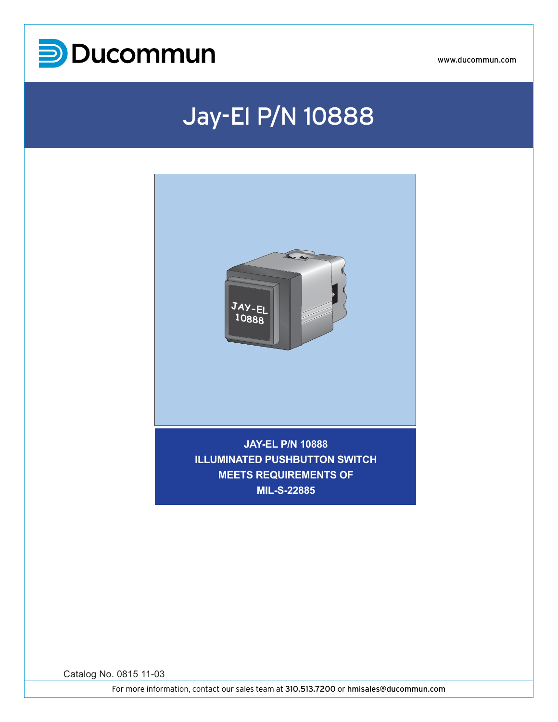

## Jay-El P/N 10888



**MIL-S-22885**

Catalog No. 0815 11-03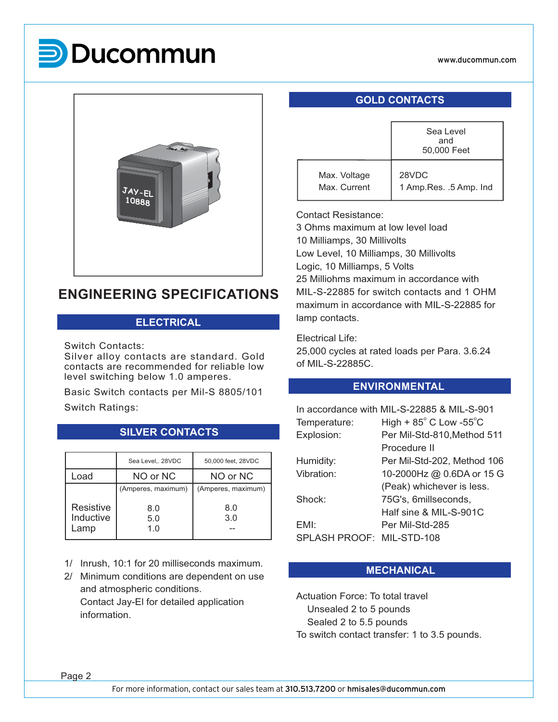

## **P**Ducommun



### **ENGINEERING SPECIFICATIONS**

### **ELECTRICAL**

Switch Contacts:

Silver alloy contacts are standard. Gold contacts are recommended for reliable low level switching below 1.0 amperes.

Basic Switch contacts per Mil-S 8805/101 Switch Ratings:

|                        | Sea Level,. 28VDC  | 50,000 feet, 28VDC |
|------------------------|--------------------|--------------------|
| Load                   | NO or NC           | NO or NC           |
|                        | (Amperes, maximum) | (Amperes, maximum) |
| Resistive<br>Inductive | 8.0<br>5.0         | 8.0<br>3.0         |
| Lamp                   | 1.0                |                    |

**SILVER CONTACTS**

- 1/ Inrush, 10:1 for 20 milliseconds maximum.
- 2/ Minimum conditions are dependent on use and atmospheric conditions. Contact Jay-El for detailed application information.

### **GOLD CONTACTS**

|        |                              | Sea Level<br>and<br>50,000 Feet   |
|--------|------------------------------|-----------------------------------|
| JAY-EL | Max. Voltage<br>Max. Current | 28VDC<br>1 Amp. Res. . 5 Amp. Ind |

#### Contact Resistance:

3 Ohms maximum at low level load 10 Milliamps, 30 Millivolts Low Level, 10 Milliamps, 30 Millivolts Logic, 10 Milliamps, 5 Volts 25 Milliohms maximum in accordance with MIL-S-22885 for switch contacts and 1 OHM maximum in accordance with MIL-S-22885 for lamp contacts.

Electrical Life:

25,000 cycles at rated loads per Para. 3.6.24 of MIL-S-22885C.

### **ENVIRONMENTAL**

| In accordance with MIL-S-22885 & MIL-S-901 |                                            |  |  |  |  |
|--------------------------------------------|--------------------------------------------|--|--|--|--|
| Temperature:                               | High + $85^{\circ}$ C Low -55 $^{\circ}$ C |  |  |  |  |
| Explosion:                                 | Per Mil-Std-810, Method 511                |  |  |  |  |
|                                            | Procedure II                               |  |  |  |  |
| Humidity:                                  | Per Mil-Std-202, Method 106                |  |  |  |  |
| Vibration:                                 | 10-2000Hz @ 0.6DA or 15 G                  |  |  |  |  |
|                                            | (Peak) whichever is less.                  |  |  |  |  |
| Shock:                                     | 75G's, 6millseconds,                       |  |  |  |  |
|                                            | Half sine & MIL-S-901C                     |  |  |  |  |
| EMI:                                       | Per Mil-Std-285                            |  |  |  |  |
| SPLASH PROOF:                              | MIL-STD-108                                |  |  |  |  |
|                                            |                                            |  |  |  |  |

### **MECHANICAL**

Actuation Force: To total travel Unsealed 2 to 5 pounds Sealed 2 to 5.5 pounds To switch contact transfer: 1 to 3.5 pounds.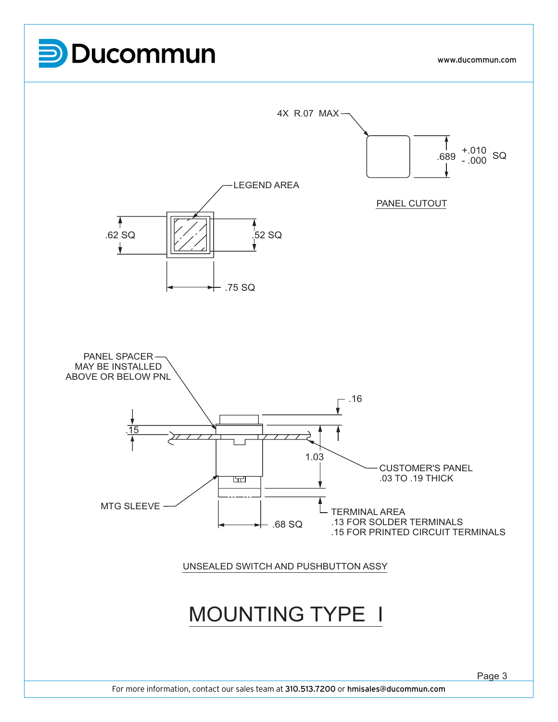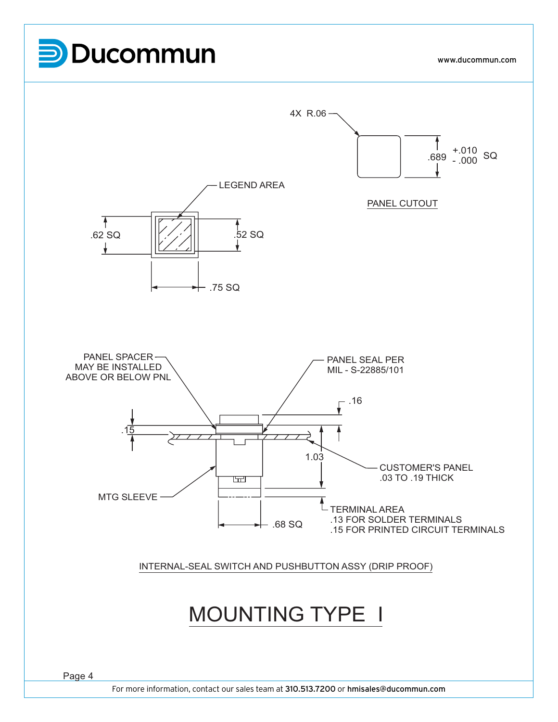# **P**Ducommun

www.ducommun.com

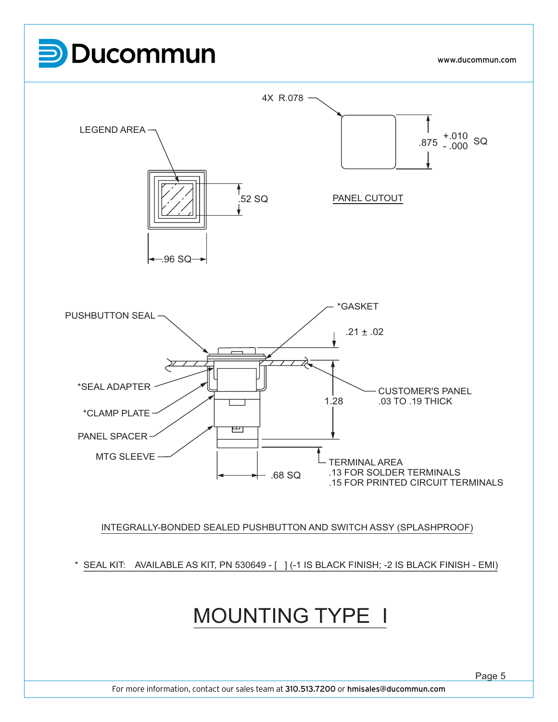

For more information, contact our sales team at 310.513.7200 or hmisales@ducommun.com

Page 5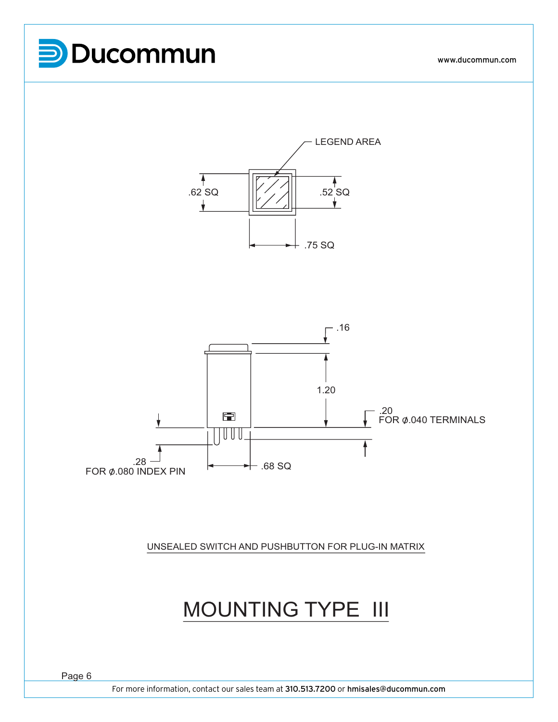





UNSEALED SWITCH AND PUSHBUTTON FOR PLUG-IN MATRIX

### MOUNTING TYPE III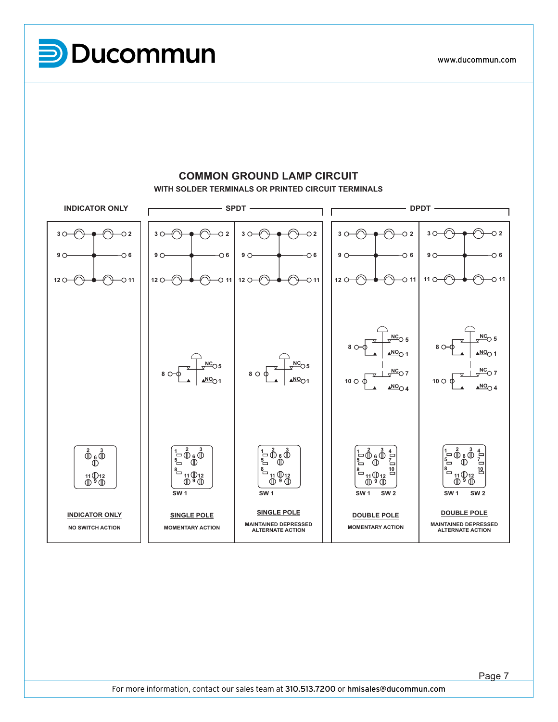**SW 1 SW 1 SW 1 SW 2 SW 1 SW 2 WITH SOLDER TERMINALS OR PRINTED CIRCUIT TERMINALS 810 INDICATOR ONLY**<br> **DPDT**  $-$  DPDT  $-$ 1 I **11 6252 7 4** $\curvearrowleft$ ₽ **2 3 2 3 2 2 3 3 3 MOMENTARY ACTION NC NO NO DOUBLE POLE 10 9 6 9 6 9 6 9 6 6 9 11 12 9 2 3**  $\frac{2}{3}$ <br>  $\frac{1}{3}$ <br>  $\frac{1}{3}$ <br>  $\frac{1}{3}$  $-0$  11  $-0$  11  $-0$  11 **12**  $-0$  11 **11 11**  $12 \Omega$ **12 12 8**COMMON GROUND LAMP CIRCUIT **32<sup>5</sup> NC**  $\overline{10}$  5 **M**<br>Depth<br>Depth<br>Depth **8 8 ALTERNATE ACTION NO 1 NO 1 SINGLE POLE 5 NC 5 NC**  $8^\circ$ **NC 7 2 3 NC 7 8 6 NO 1 NO 1 10 10 NO 4 NO 4 INDICATOR 325MOMENT**<br>2<br>2  $1 \frac{2}{2}$ **3 6 2 3 6 2 3 6 2 3 2 3 6 1 4 1 4 1 6 S**<br>SINGLE P **5 5 7 5 7** <u>.</u> **8 8 8 10 38 10 <sup>12</sup> <sup>9</sup> 11 12 <sup>9</sup>** 11 <sup>12</sup><br><sup>9</sup> <sup>9</sup> **11**  $\mathbb{D}$  12<br>መ ª መ **11 12 <sup>9</sup> 11 12 <sup>9</sup> 11 12 9 11 SW2 SW 1 SW 1 SW 1 SW 2 SW 1 SW 2 8SINGLE POLE DOUBLE POLE INDICATOR ONLY SINGLE POLE DOUBLE POLE 3**MOMENTARY ACTION **9MAINTAINED DEPRESSED MAINTAINED DEPRESSED ALTERNATE ACTION MOMENTARY ACTION NO SWITCH ACTION ALTERNATE ACTION**

Page 7

### **COMMON GROUND LAMP CIRCUIT**

**P**Ducommun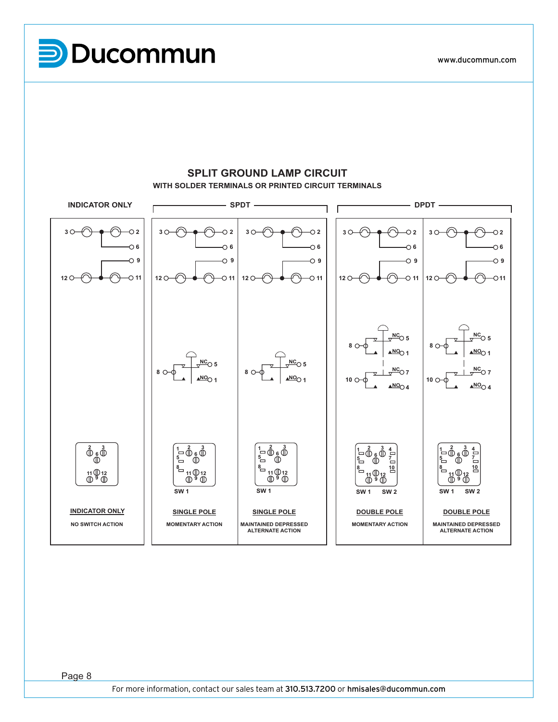**P**Ducommun

Page 8



### **SPLIT GROUND LAMP CIRCUIT WITH SOLDER TERMINALS OR PRINTED CIRCUIT TERMINALS**

Page 8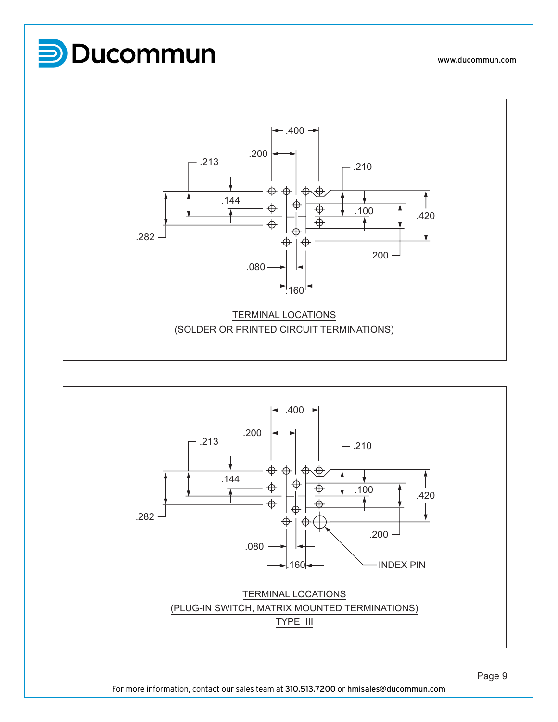





Page 9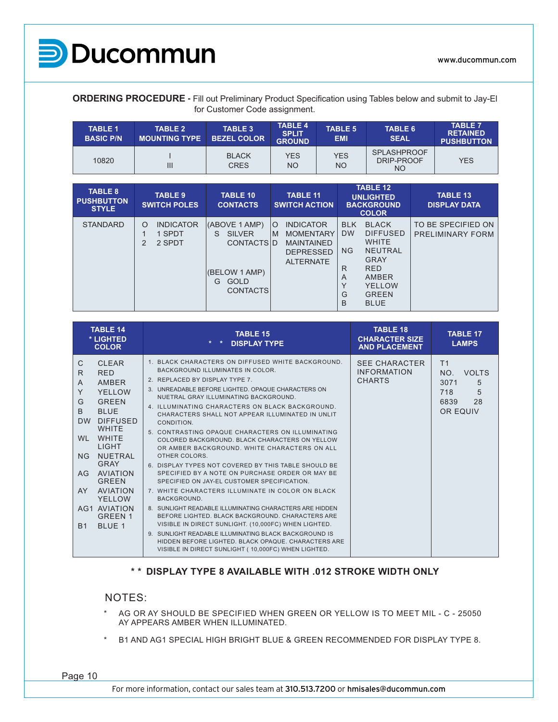

**ORDERING PROCEDURE -** Fill out Preliminary Product Specification using Tables below and submit to Jay-El for Customer Code assignment.

| <b>TABLE 1</b><br><b>BASIC P/N</b> | <b>TABLE 2</b><br><b>MOUNTING TYPE</b> | TABLE 3<br><b>BEZEL COLOR</b> | <b>TABLE 4</b><br><b>SPLIT</b><br><b>GROUND</b> | <b>TABLE 5</b><br><b>EMI</b> | <b>TABLE 6</b><br><b>SEAL</b>                 | <b>TABLE 7</b><br><b>RETAINED</b><br><b>PUSHBUTTON</b> |
|------------------------------------|----------------------------------------|-------------------------------|-------------------------------------------------|------------------------------|-----------------------------------------------|--------------------------------------------------------|
| 10820                              | Ш                                      | <b>BLACK</b><br><b>CRES</b>   | <b>YES</b><br>NΟ                                | <b>YES</b><br><b>NO</b>      | <b>SPLASHPROOF</b><br>DRIP-PROOF<br><b>NO</b> | YES                                                    |

| <b>TABLE 8</b><br><b>PUSHBUTTON</b><br><b>STYLE</b> | <b>TABLE 9</b><br><b>SWITCH POLES</b>                | <b>TABLE 10</b><br><b>CONTACTS</b>                                                                                | <b>TABLE 11</b><br><b>SWITCH ACTION</b>                                                                           | <b>TABLE 12</b><br><b>UNLIGHTED</b><br><b>BACKGROUND</b><br><b>COLOR</b>                                                                                                                                      | <b>TABLE 13</b><br><b>DISPLAY DATA</b>        |
|-----------------------------------------------------|------------------------------------------------------|-------------------------------------------------------------------------------------------------------------------|-------------------------------------------------------------------------------------------------------------------|---------------------------------------------------------------------------------------------------------------------------------------------------------------------------------------------------------------|-----------------------------------------------|
| <b>STANDARD</b>                                     | <b>INDICATOR</b><br>$\circ$<br>1 SPDT<br>2 SPDT<br>2 | (ABOVE 1 AMP)<br><b>SILVER</b><br>S.<br><b>CONTACTSID</b><br>(BELOW 1 AMP)<br><b>GOLD</b><br>G<br><b>CONTACTS</b> | <b>INDICATOR</b><br>$\circ$<br><b>MOMENTARY</b><br>M<br><b>MAINTAINED</b><br><b>DEPRESSED</b><br><b>ALTERNATE</b> | <b>BLACK</b><br><b>BLK</b><br><b>DW</b><br><b>DIFFUSED</b><br><b>WHITE</b><br><b>NG</b><br>NEUTRAL<br>GRAY<br><b>RED</b><br>R<br>AMBER<br>A<br>$\check{ }$<br>YELLOW<br><b>GREEN</b><br>G<br>B<br><b>BLUE</b> | TO BE SPECIFIED ON<br><b>PRELIMINARY FORM</b> |

| <b>TABLE 14</b><br>* LIGHTED<br><b>COLOR</b>                                                                                                                                                                                                                                                                                                                                                                                     | <b>TABLE 15</b><br><b>DISPLAY TYPE</b>                                                                                                                                                                                                                                                                                                                                                                                                                                                                                                                                                                                                                                                                                                                                                                                                                                                                                                                                                                                                                                                        | <b>TABLE 18</b><br><b>CHARACTER SIZE</b><br><b>AND PLACEMENT</b> | <b>TABLE 17</b><br><b>LAMPS</b>                                                   |
|----------------------------------------------------------------------------------------------------------------------------------------------------------------------------------------------------------------------------------------------------------------------------------------------------------------------------------------------------------------------------------------------------------------------------------|-----------------------------------------------------------------------------------------------------------------------------------------------------------------------------------------------------------------------------------------------------------------------------------------------------------------------------------------------------------------------------------------------------------------------------------------------------------------------------------------------------------------------------------------------------------------------------------------------------------------------------------------------------------------------------------------------------------------------------------------------------------------------------------------------------------------------------------------------------------------------------------------------------------------------------------------------------------------------------------------------------------------------------------------------------------------------------------------------|------------------------------------------------------------------|-----------------------------------------------------------------------------------|
| $\mathsf{C}$<br><b>CLEAR</b><br>R.<br><b>RED</b><br>AMBER<br>$\mathsf{A}$<br>Y<br>YFLLOW<br>G<br><b>GREEN</b><br><sub>B</sub><br><b>BLUE</b><br><b>DIFFUSED</b><br><b>DW</b><br><b>WHITE</b><br><b>WHITE</b><br>WL.<br><b>LIGHT</b><br><b>NUFTRAL</b><br>NG<br><b>GRAY</b><br>AVIATION<br>AG<br><b>GREEN</b><br><b>AVIATION</b><br>AY.<br>YFLLOW<br><b>AG1 AVIATION</b><br><b>GREEN 1</b><br>BLUE <sub>1</sub><br>B <sub>1</sub> | 1. BLACK CHARACTERS ON DIFFUSED WHITE BACKGROUND.<br>BACKGROUND ILLUMINATES IN COLOR.<br>2. REPLACED BY DISPLAY TYPE 7.<br>3. UNREADABLE BEFORE LIGHTED, OPAQUE CHARACTERS ON<br>NUETRAL GRAY ILLUMINATING BACKGROUND.<br>4. ILLUMINATING CHARACTERS ON BLACK BACKGROUND.<br>CHARACTERS SHALL NOT APPEAR ILLUMINATED IN UNLIT<br>CONDITION.<br>5. CONTRASTING OPAQUE CHARACTERS ON ILLUMINATING<br>COLORED BACKGROUND, BLACK CHARACTERS ON YELLOW<br>OR AMBER BACKGROUND. WHITE CHARACTERS ON ALL<br>OTHER COLORS.<br>6. DISPLAY TYPES NOT COVERED BY THIS TABLE SHOULD BE<br>SPECIFIED BY A NOTE ON PURCHASE ORDER OR MAY BE<br>SPECIFIED ON JAY-EL CUSTOMER SPECIFICATION.<br>7. WHITE CHARACTERS ILLUMINATE IN COLOR ON BLACK<br>BACKGROUND.<br>8. SUNLIGHT READABLE ILLUMINATING CHARACTERS ARE HIDDEN<br>BEFORE LIGHTED. BLACK BACKGROUND. CHARACTERS ARE<br>VISIBLE IN DIRECT SUNLIGHT. (10,000FC) WHEN LIGHTED.<br>9. SUNLIGHT READABLE ILLUMINATING BLACK BACKGROUND IS<br>HIDDEN BEFORE LIGHTED, BLACK OPAQUE, CHARACTERS ARE<br>VISIBLE IN DIRECT SUNLIGHT (10,000FC) WHEN LIGHTED. | <b>SEE CHARACTER</b><br><b>INFORMATION</b><br><b>CHARTS</b>      | T <sub>1</sub><br>NO.<br>VOLTS<br>3071<br>5<br>5<br>718<br>28<br>6839<br>OR EQUIV |

### **\* \* DISPLAY TYPE 8 AVAILABLE WITH .012 STROKE WIDTH ONLY**

#### NOTES:

- \* AG OR AY SHOULD BE SPECIFIED WHEN GREEN OR YELLOW IS TO MEET MIL C 25050 AY APPEARS AMBER WHEN ILLUMINATED.
- \* B1 AND AG1 SPECIAL HIGH BRIGHT BLUE & GREEN RECOMMENDED FOR DISPLAY TYPE 8.

Page 10